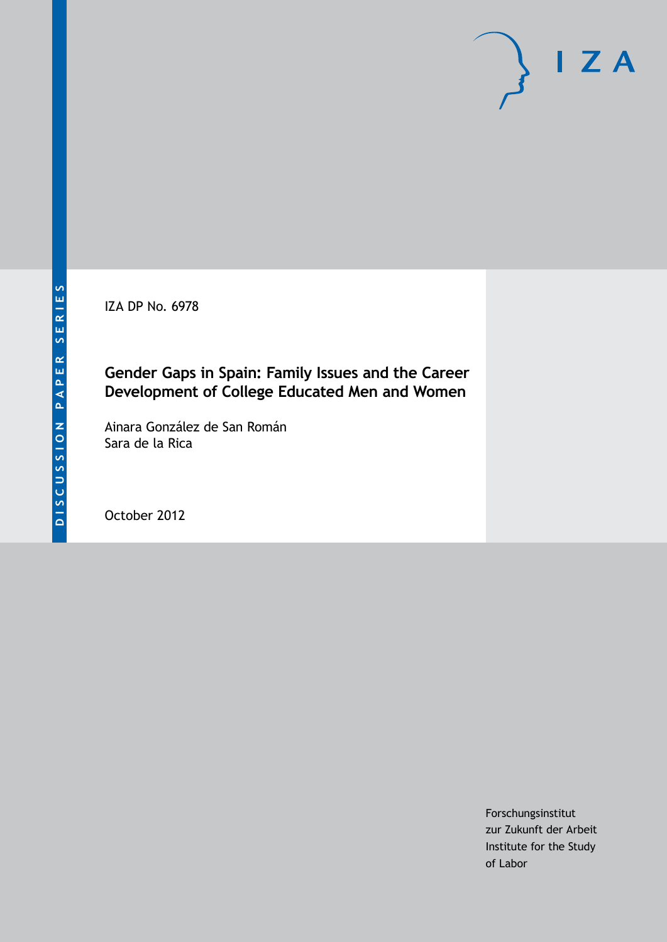IZA DP No. 6978

# **Gender Gaps in Spain: Family Issues and the Career Development of College Educated Men and Women**

Ainara González de San Román Sara de la Rica

October 2012

Forschungsinstitut zur Zukunft der Arbeit Institute for the Study of Labor

 $I Z A$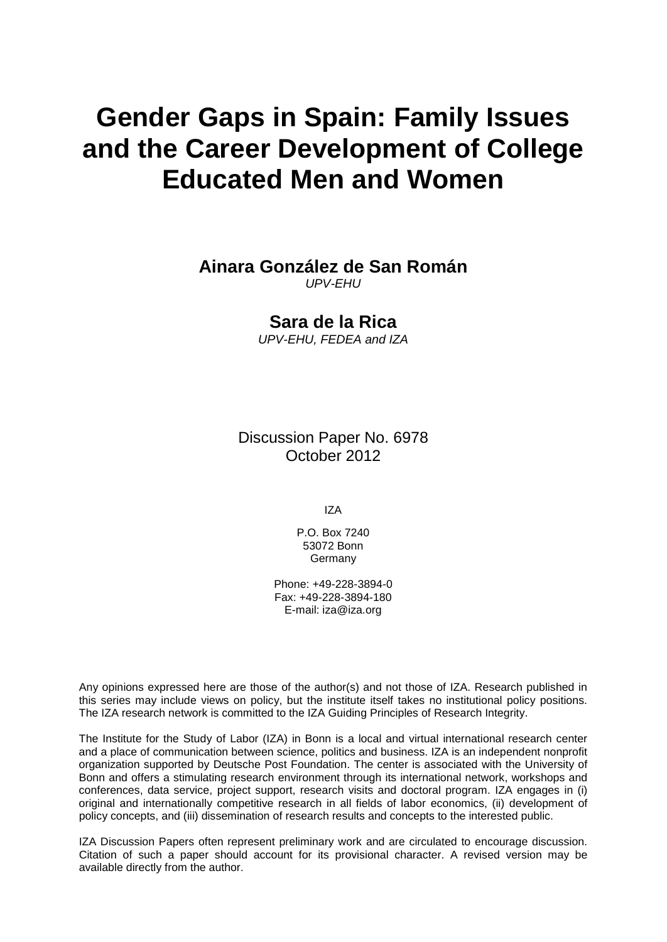# **Gender Gaps in Spain: Family Issues and the Career Development of College Educated Men and Women**

## **Ainara González de San Román**

*UPV-EHU*

## **Sara de la Rica**

*UPV-EHU, FEDEA and IZA*

Discussion Paper No. 6978 October 2012

IZA

P.O. Box 7240 53072 Bonn Germany

Phone: +49-228-3894-0 Fax: +49-228-3894-180 E-mail: [iza@iza.org](mailto:iza@iza.org)

Any opinions expressed here are those of the author(s) and not those of IZA. Research published in this series may include views on policy, but the institute itself takes no institutional policy positions. The IZA research network is committed to the IZA Guiding Principles of Research Integrity.

The Institute for the Study of Labor (IZA) in Bonn is a local and virtual international research center and a place of communication between science, politics and business. IZA is an independent nonprofit organization supported by Deutsche Post Foundation. The center is associated with the University of Bonn and offers a stimulating research environment through its international network, workshops and conferences, data service, project support, research visits and doctoral program. IZA engages in (i) original and internationally competitive research in all fields of labor economics, (ii) development of policy concepts, and (iii) dissemination of research results and concepts to the interested public.

<span id="page-1-0"></span>IZA Discussion Papers often represent preliminary work and are circulated to encourage discussion. Citation of such a paper should account for its provisional character. A revised version may be available directly from the author.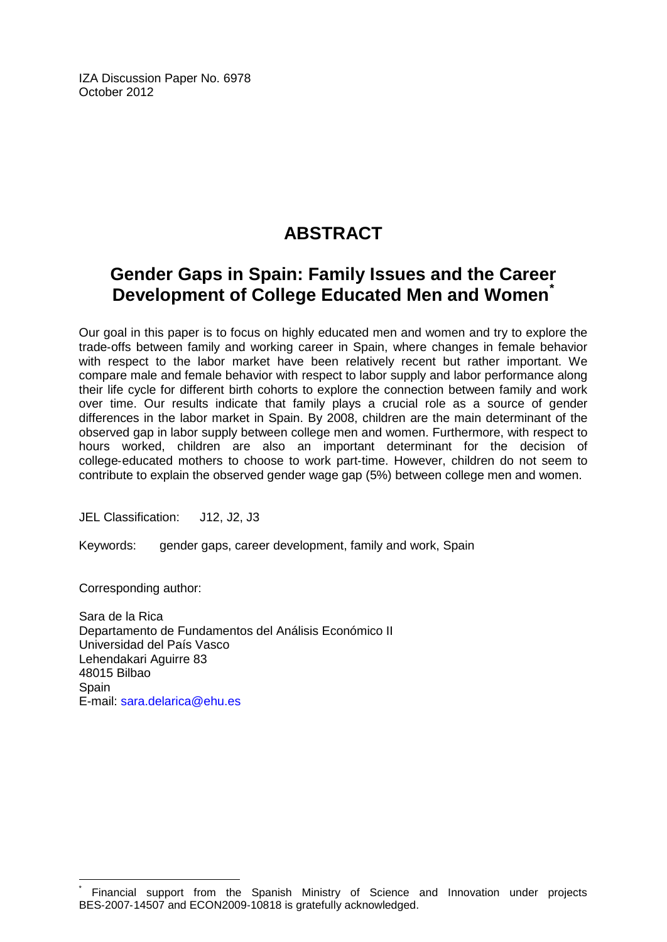IZA Discussion Paper No. 6978 October 2012

# **ABSTRACT**

# **Gender Gaps in Spain: Family Issues and the Career Development of College Educated Men and Women[\\*](#page-1-0)**

Our goal in this paper is to focus on highly educated men and women and try to explore the trade‐offs between family and working career in Spain, where changes in female behavior with respect to the labor market have been relatively recent but rather important. We compare male and female behavior with respect to labor supply and labor performance along their life cycle for different birth cohorts to explore the connection between family and work over time. Our results indicate that family plays a crucial role as a source of gender differences in the labor market in Spain. By 2008, children are the main determinant of the observed gap in labor supply between college men and women. Furthermore, with respect to hours worked, children are also an important determinant for the decision of college‐educated mothers to choose to work part‐time. However, children do not seem to contribute to explain the observed gender wage gap (5%) between college men and women.

JEL Classification: J12, J2, J3

Keywords: gender gaps, career development, family and work, Spain

Corresponding author:

Sara de la Rica Departamento de Fundamentos del Análisis Económico II Universidad del País Vasco Lehendakari Aguirre 83 48015 Bilbao **Spain** E-mail: [sara.delarica@ehu.es](mailto:sara.delarica@ehu.es)

Financial support from the Spanish Ministry of Science and Innovation under projects BES‐2007‐14507 and ECON2009‐10818 is gratefully acknowledged.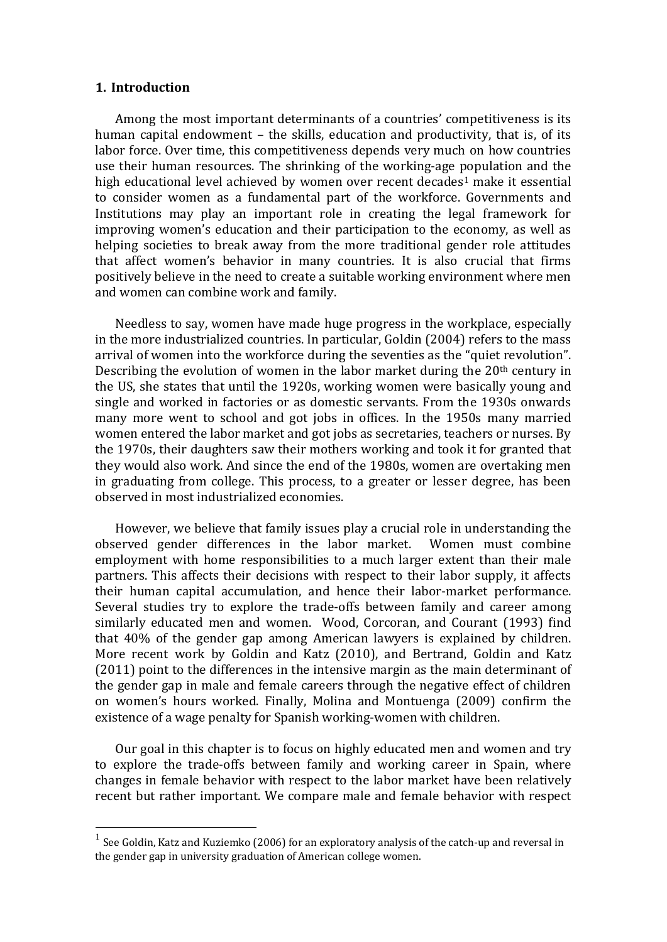#### **1. Introduction**

Among the most important determinants of a countries' competitiveness is its human capital endowment – the skills, education and productivity, that is, of its labor force. Over time, this competitiveness depends very much on how countries use their human resources. The shrinking of the working‐age population and the high educational level achieved by women over recent decades<sup>1</sup> make it essential to consider women as a fundamental part of the workforce. Governments and Institutions may play an important role in creating the legal framework for improving women's education and their participation to the economy, as well as helping societies to break away from the more traditional gender role attitudes that affect women's behavior in many countries. It is also crucial that firms positively believe in the need to create a suitable working environment where men and women can combine work and family.

Needless to say, women have made huge progress in the workplace, especially in the more industrialized countries. In particular, Goldin (2004) refers to the mass arrival of women into the workforce during the seventies as the "quiet revolution". Describing the evolution of women in the labor market during the  $20<sup>th</sup>$  century in the US, she states that until the 1920s, working women were basically young and single and worked in factories or as domestic servants. From the 1930s onwards many more went to school and got jobs in offices. In the 1950s many married women entered the labor market and got jobs as secretaries, teachers or nurses. By the 1970s, their daughters saw their mothers working and took it for granted that they would also work. And since the end of the 1980s, women are overtaking men in graduating from college. This process, to a greater or lesser degree, has been observed in most industrialized economies.

However, we believe that family issues play a crucial role in understanding the observed gender differences in the labor market. Women must combine employment with home responsibilities to a much larger extent than their male partners. This affects their decisions with respect to their labor supply, it affects their human capital accumulation, and hence their labor‐market performance. Several studies try to explore the trade-offs between family and career among similarly educated men and women. Wood, Corcoran, and Courant (1993) find that 40% of the gender gap among American lawyers is explained by children. More recent work by Goldin and Katz (2010), and Bertrand, Goldin and Katz (2011) point to the differences in the intensive margin as the main determinant of the gender gap in male and female careers through the negative effect of children on women's hours worked. Finally, Molina and Montuenga (2009) confirm the existence of a wage penalty for Spanish working‐women with children.

Our goal in this chapter is to focus on highly educated men and women and try to explore the trade‐offs between family and working career in Spain, where changes in female behavior with respect to the labor market have been relatively recent but rather important. We compare male and female behavior with respect

 $<sup>1</sup>$  See Goldin, Katz and Kuziemko (2006) for an exploratory analysis of the catch-up and reversal in</sup> the gender gap in university graduation of American college women.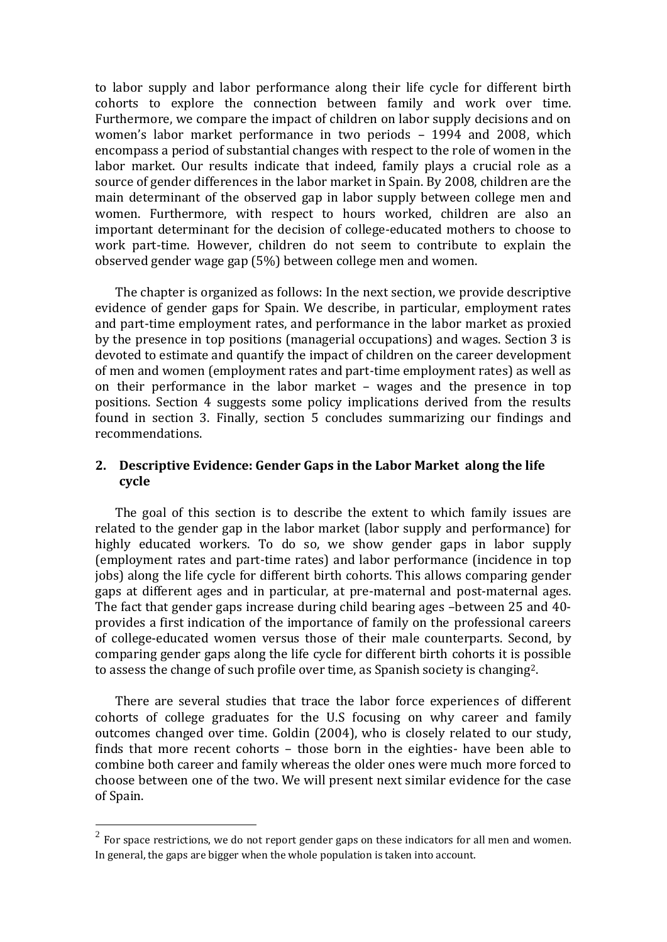to labor supply and labor performance along their life cycle for different birth cohorts to explore the connection between family and work over time. Furthermore, we compare the impact of children on labor supply decisions and on women's labor market performance in two periods – 1994 and 2008, which encompass a period of substantial changes with respect to the role of women in the labor market. Our results indicate that indeed, family plays a crucial role as a source of gender differences in the labor market in Spain. By 2008, children are the main determinant of the observed gap in labor supply between college men and women. Furthermore, with respect to hours worked, children are also an important determinant for the decision of college‐educated mothers to choose to work part-time. However, children do not seem to contribute to explain the observed gender wage gap (5%) between college men and women.

The chapter is organized as follows: In the next section, we provide descriptive evidence of gender gaps for Spain. We describe, in particular, employment rates and part‐time employment rates, and performance in the labor market as proxied by the presence in top positions (managerial occupations) and wages. Section 3 is devoted to estimate and quantify the impact of children on the career development of men and women (employment rates and part‐time employment rates) as well as on their performance in the labor market – wages and the presence in top positions. Section 4 suggests some policy implications derived from the results found in section 3. Finally, section 5 concludes summarizing our findings and recommendations.

## **2. Descriptive Evidence: Gender Gaps in the Labor Market along the life cycle**

The goal of this section is to describe the extent to which family issues are related to the gender gap in the labor market (labor supply and performance) for highly educated workers. To do so, we show gender gaps in labor supply (employment rates and part‐time rates) and labor performance (incidence in top jobs) along the life cycle for different birth cohorts. This allows comparing gender gaps at different ages and in particular, at pre‐maternal and post‐maternal ages. The fact that gender gaps increase during child bearing ages –between 25 and 40‐ provides a first indication of the importance of family on the professional careers of college‐educated women versus those of their male counterparts. Second, by comparing gender gaps along the life cycle for different birth cohorts it is possible to assess the change of such profile over time, as Spanish society is changing2.

There are several studies that trace the labor force experiences of different cohorts of college graduates for the U.S focusing on why career and family outcomes changed over time. Goldin (2004), who is closely related to our study, finds that more recent cohorts – those born in the eighties‐ have been able to combine both career and family whereas the older ones were much more forced to choose between one of the two. We will present next similar evidence for the case of Spain.

 $2^{2}$  For space restrictions, we do not report gender gaps on these indicators for all men and women. In general, the gaps are bigger when the whole population is taken into account.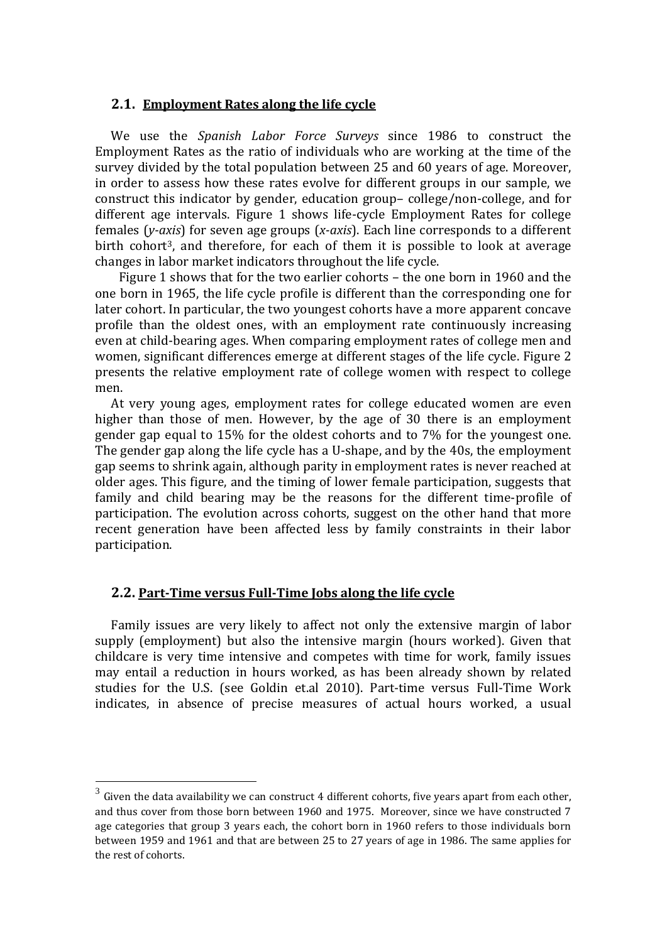#### **2.1. Employment Rates along the life cycle**

We use the *Spanish Labor Force Surveys* since 1986 to construct the Employment Rates as the ratio of individuals who are working at the time of the survey divided by the total population between 25 and 60 years of age. Moreover, in order to assess how these rates evolve for different groups in our sample, we construct this indicator by gender, education group– college/non‐college, and for different age intervals. Figure 1 shows life-cycle Employment Rates for college females (*yaxis*) for seven age groups (*xaxis*). Each line corresponds to a different birth cohort<sup>3</sup>, and therefore, for each of them it is possible to look at average changes in labor market indicators throughout the life cycle.

Figure 1 shows that for the two earlier cohorts – the one born in 1960 and the one born in 1965, the life cycle profile is different than the corresponding one for later cohort. In particular, the two youngest cohorts have a more apparent concave profile than the oldest ones, with an employment rate continuously increasing even at child‐bearing ages. When comparing employment rates of college men and women, significant differences emerge at different stages of the life cycle. Figure 2 presents the relative employment rate of college women with respect to college men.

At very young ages, employment rates for college educated women are even higher than those of men. However, by the age of 30 there is an employment gender gap equal to 15% for the oldest cohorts and to 7% for the youngest one. The gender gap along the life cycle has a U-shape, and by the 40s, the employment gap seems to shrink again, although parity in employment rates is never reached at older ages. This figure, and the timing of lower female participation, suggests that family and child bearing may be the reasons for the different time-profile of participation. The evolution across cohorts, suggest on the other hand that more recent generation have been affected less by family constraints in their labor participation.

## **2.2. PartTime versus FullTime Jobs along the life cycle**

Family issues are very likely to affect not only the extensive margin of labor supply (employment) but also the intensive margin (hours worked). Given that childcare is very time intensive and competes with time for work, family issues may entail a reduction in hours worked, as has been already shown by related studies for the U.S. (see Goldin et.al 2010). Part-time versus Full-Time Work indicates, in absence of precise measures of actual hours worked, a usual

 $3\,$  Given the data availability we can construct 4 different cohorts, five years apart from each other, and thus cover from those born between 1960 and 1975. Moreover, since we have constructed 7 age categories that group 3 years each, the cohort born in 1960 refers to those individuals born between 1959 and 1961 and that are between 25 to 27 years of age in 1986. The same applies for the rest of cohorts.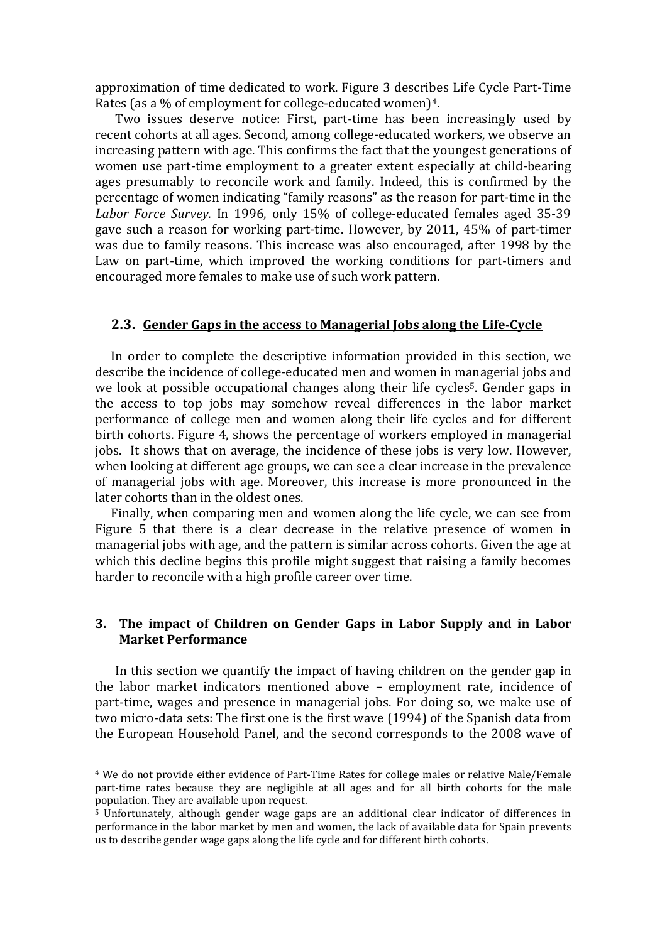approximation of time dedicated to work. Figure 3 describes Life Cycle Part‐Time Rates (as a % of employment for college-educated women)<sup>4</sup>.

Two issues deserve notice: First, part‐time has been increasingly used by recent cohorts at all ages. Second, among college‐educated workers, we observe an increasing pattern with age. This confirms the fact that the youngest generations of women use part-time employment to a greater extent especially at child-bearing ages presumably to reconcile work and family. Indeed, this is confirmed by the percentage of women indicating "family reasons" as the reason for part‐time in the *Labor Force Survey*. In 1996, only 15% of college‐educated females aged 35‐39 gave such a reason for working part‐time. However, by 2011, 45% of part‐timer was due to family reasons. This increase was also encouraged, after 1998 by the Law on part-time, which improved the working conditions for part-timers and encouraged more females to make use of such work pattern.

#### **2.3. Gender Gaps in the access to Managerial Jobs along the LifeCycle**

In order to complete the descriptive information provided in this section, we describe the incidence of college‐educated men and women in managerial jobs and we look at possible occupational changes along their life cycles<sup>5</sup>. Gender gaps in the access to top jobs may somehow reveal differences in the labor market performance of college men and women along their life cycles and for different birth cohorts. Figure 4, shows the percentage of workers employed in managerial jobs. It shows that on average, the incidence of these jobs is very low. However, when looking at different age groups, we can see a clear increase in the prevalence of managerial jobs with age. Moreover, this increase is more pronounced in the later cohorts than in the oldest ones.

Finally, when comparing men and women along the life cycle, we can see from Figure 5 that there is a clear decrease in the relative presence of women in managerial jobs with age, and the pattern is similar across cohorts. Given the age at which this decline begins this profile might suggest that raising a family becomes harder to reconcile with a high profile career over time.

#### **3. The impact of Children on Gender Gaps in Labor Supply and in Labor Market Performance**

In this section we quantify the impact of having children on the gender gap in the labor market indicators mentioned above – employment rate, incidence of part‐time, wages and presence in managerial jobs. For doing so, we make use of two micro‐data sets: The first one is the first wave (1994) of the Spanish data from the European Household Panel, and the second corresponds to the 2008 wave of

<sup>4</sup> We do not provide either evidence of Part‐Time Rates for college males or relative Male/Female part-time rates because they are negligible at all ages and for all birth cohorts for the male population. They are available upon request.

 $5$  Unfortunately, although gender wage gaps are an additional clear indicator of differences in performance in the labor market by men and women, the lack of available data for Spain prevents us to describe gender wage gaps along the life cycle and for different birth cohorts.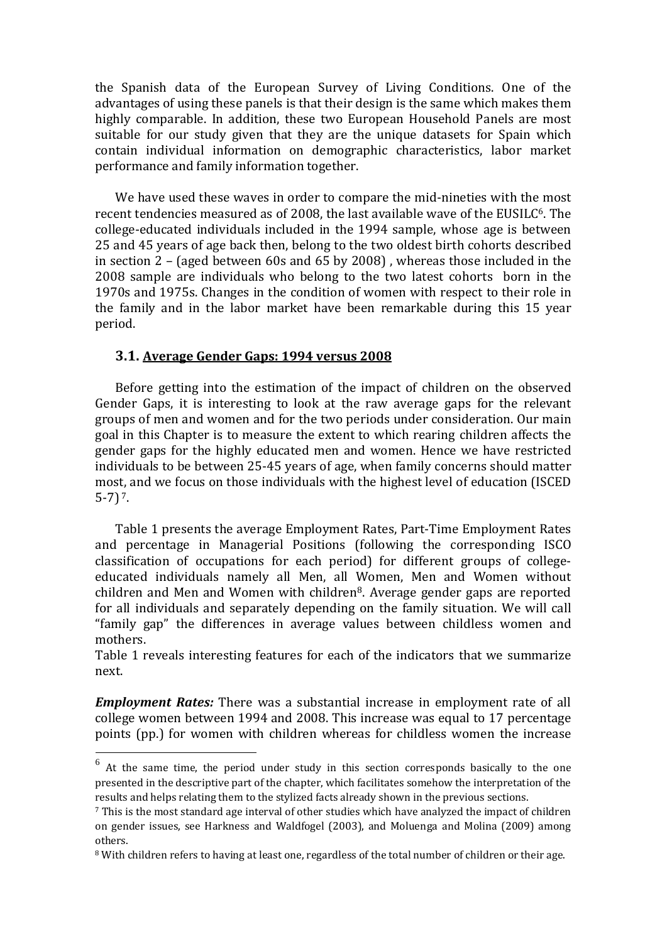the Spanish data of the European Survey of Living Conditions. One of the advantages of using these panels is that their design is the same which makes them highly comparable. In addition, these two European Household Panels are most suitable for our study given that they are the unique datasets for Spain which contain individual information on demographic characteristics, labor market performance and family information together.

We have used these waves in order to compare the mid-nineties with the most recent tendencies measured as of 2008, the last available wave of the EUSILC<sup>6</sup>. The college‐educated individuals included in the 1994 sample, whose age is between 25 and 45 years of age back then, belong to the two oldest birth cohorts described in section 2 – (aged between 60s and 65 by 2008) , whereas those included in the 2008 sample are individuals who belong to the two latest cohorts born in the 1970s and 1975s. Changes in the condition of women with respect to their role in the family and in the labor market have been remarkable during this 15 year period.

#### **3.1. Average Gender Gaps: 1994 versus 2008**

Before getting into the estimation of the impact of children on the observed Gender Gaps, it is interesting to look at the raw average gaps for the relevant groups of men and women and for the two periods under consideration. Our main goal in this Chapter is to measure the extent to which rearing children affects the gender gaps for the highly educated men and women. Hence we have restricted individuals to be between 25‐45 years of age, when family concerns should matter most, and we focus on those individuals with the highest level of education (ISCED  $5-7$ )  $^{7}$ .

Table 1 presents the average Employment Rates, Part‐Time Employment Rates and percentage in Managerial Positions (following the corresponding ISCO classification of occupations for each period) for different groups of college‐ educated individuals namely all Men, all Women, Men and Women without children and Men and Women with children<sup>8</sup>. Average gender gaps are reported for all individuals and separately depending on the family situation. We will call "family gap" the differences in average values between childless women and mothers.

Table 1 reveals interesting features for each of the indicators that we summarize next.

*Employment Rates:* There was a substantial increase in employment rate of all college women between 1994 and 2008. This increase was equal to 17 percentage points (pp.) for women with children whereas for childless women the increase

 $6$  At the same time, the period under study in this section corresponds basically to the one presented in the descriptive part of the chapter, which facilitates somehow the interpretation of the results and helps relating them to the stylized facts already shown in the previous sections.

<sup>7</sup> This is the most standard age interval of other studies which have analyzed the impact of children on gender issues, see Harkness and Waldfogel (2003), and Moluenga and Molina (2009) among others.

<sup>8</sup> With children refers to having at least one, regardless of the total number of children or their age.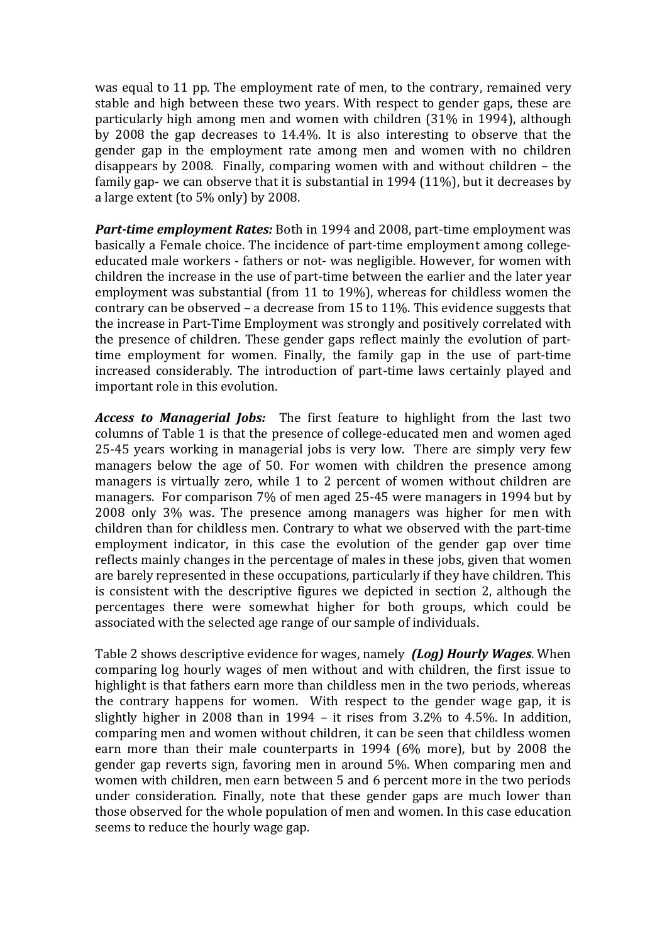was equal to 11 pp. The employment rate of men, to the contrary, remained very stable and high between these two years. With respect to gender gaps, these are particularly high among men and women with children (31% in 1994), although by 2008 the gap decreases to 14.4%. It is also interesting to observe that the gender gap in the employment rate among men and women with no children disappears by 2008. Finally, comparing women with and without children – the family gap- we can observe that it is substantial in 1994 (11%), but it decreases by a large extent (to 5% only) by 2008.

*Parttime employment Rates:* Both in 1994 and 2008, part‐time employment was basically a Female choice. The incidence of part‐time employment among college‐ educated male workers ‐ fathers or not‐ was negligible. However, for women with children the increase in the use of part‐time between the earlier and the later year employment was substantial (from 11 to 19%), whereas for childless women the contrary can be observed – a decrease from 15 to 11%. This evidence suggests that the increase in Part‐Time Employment was strongly and positively correlated with the presence of children. These gender gaps reflect mainly the evolution of parttime employment for women. Finally, the family gap in the use of part-time increased considerably. The introduction of part-time laws certainly played and important role in this evolution.

Access to Managerial Jobs: The first feature to highlight from the last two columns of Table 1 is that the presence of college‐educated men and women aged 25‐45 years working in managerial jobs is very low. There are simply very few managers below the age of 50. For women with children the presence among managers is virtually zero, while 1 to 2 percent of women without children are managers. For comparison 7% of men aged 25‐45 were managers in 1994 but by 2008 only 3% was. The presence among managers was higher for men with children than for childless men. Contrary to what we observed with the part‐time employment indicator, in this case the evolution of the gender gap over time reflects mainly changes in the percentage of males in these jobs, given that women are barely represented in these occupations, particularly if they have children. This is consistent with the descriptive figures we depicted in section 2, although the percentages there were somewhat higher for both groups, which could be associated with the selected age range of our sample of individuals.

Table 2 shows descriptive evidence for wages, namely *(Log) Hourly Wages*. When comparing log hourly wages of men without and with children, the first issue to highlight is that fathers earn more than childless men in the two periods, whereas the contrary happens for women. With respect to the gender wage gap, it is slightly higher in 2008 than in  $1994 -$  it rises from  $3.2\%$  to  $4.5\%$ . In addition, comparing men and women without children, it can be seen that childless women earn more than their male counterparts in 1994 (6% more), but by 2008 the gender gap reverts sign, favoring men in around 5%. When comparing men and women with children, men earn between 5 and 6 percent more in the two periods under consideration. Finally, note that these gender gaps are much lower than those observed for the whole population of men and women. In this case education seems to reduce the hourly wage gap.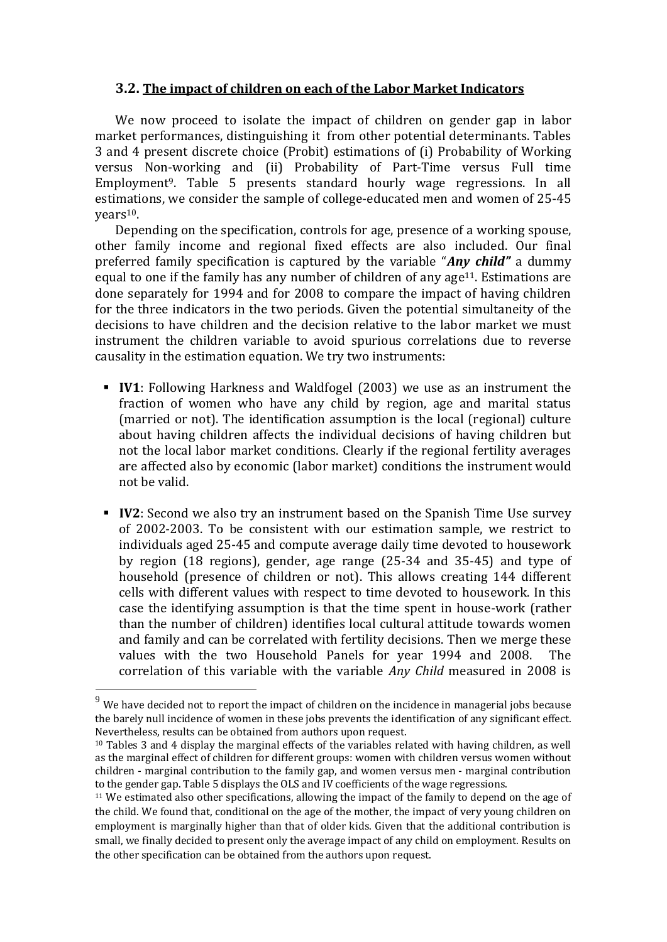#### **3.2. The impact of children on each of the Labor Market Indicators**

We now proceed to isolate the impact of children on gender gap in labor market performances, distinguishing it from other potential determinants. Tables 3 and 4 present discrete choice (Probit) estimations of (i) Probability of Working versus Non‐working and (ii) Probability of Part‐Time versus Full time Employment9. Table 5 presents standard hourly wage regressions. In all estimations, we consider the sample of college‐educated men and women of 25‐45 years10.

Depending on the specification, controls for age, presence of a working spouse, other family income and regional fixed effects are also included. Our final preferred family specification is captured by the variable "*Any child"* a dummy equal to one if the family has any number of children of any age<sup>11</sup>. Estimations are done separately for 1994 and for 2008 to compare the impact of having children for the three indicators in the two periods. Given the potential simultaneity of the decisions to have children and the decision relative to the labor market we must instrument the children variable to avoid spurious correlations due to reverse causality in the estimation equation. We try two instruments:

- **IV1**: Following Harkness and Waldfogel (2003) we use as an instrument the fraction of women who have any child by region, age and marital status (married or not). The identification assumption is the local (regional) culture about having children affects the individual decisions of having children but not the local labor market conditions. Clearly if the regional fertility averages are affected also by economic (labor market) conditions the instrument would not be valid.
- **IV2**: Second we also try an instrument based on the Spanish Time Use survey of 2002‐2003. To be consistent with our estimation sample, we restrict to individuals aged 25‐45 and compute average daily time devoted to housework by region (18 regions), gender, age range (25‐34 and 35‐45) and type of household (presence of children or not). This allows creating 144 different cells with different values with respect to time devoted to housework. In this case the identifying assumption is that the time spent in house‐work (rather than the number of children) identifies local cultural attitude towards women and family and can be correlated with fertility decisions. Then we merge these values with the two Household Panels for year 1994 and 2008. The correlation of this variable with the variable *Any Child* measured in 2008 is

 $9\,$  We have decided not to report the impact of children on the incidence in managerial jobs because the barely null incidence of women in these jobs prevents the identification of any significant effect. Nevertheless, results can be obtained from authors upon request.

 $10$  Tables 3 and 4 display the marginal effects of the variables related with having children, as well as the marginal effect of children for different groups: women with children versus women without children ‐ marginal contribution to the family gap, and women versus men ‐ marginal contribution to the gender gap. Table 5 displays the OLS and IV coefficients of the wage regressions.

<sup>&</sup>lt;sup>11</sup> We estimated also other specifications, allowing the impact of the family to depend on the age of the child. We found that, conditional on the age of the mother, the impact of very young children on employment is marginally higher than that of older kids. Given that the additional contribution is small, we finally decided to present only the average impact of any child on employment. Results on the other specification can be obtained from the authors upon request.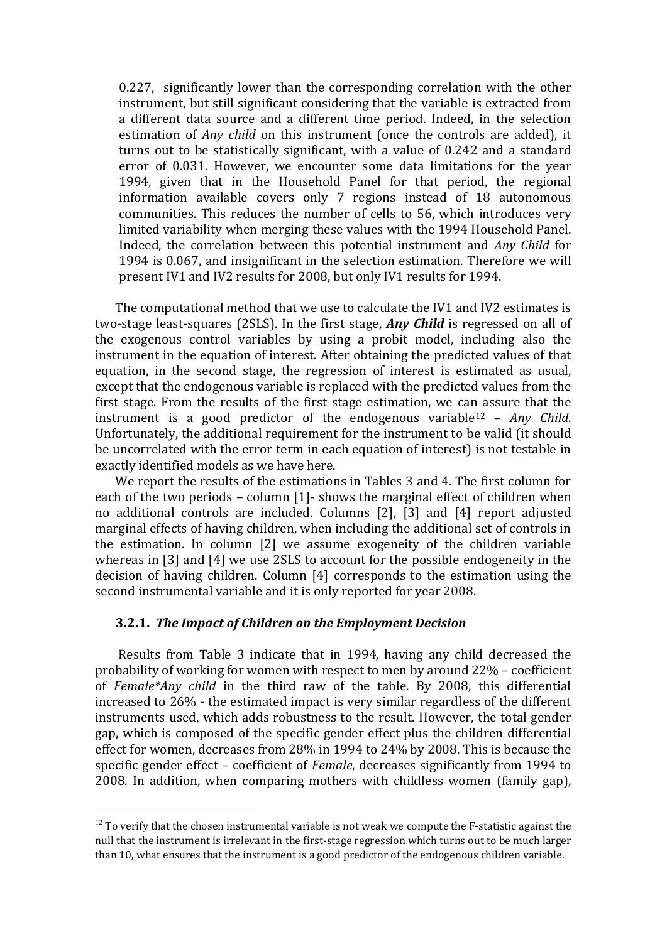0.227, significantly lower than the corresponding correlation with the other instrument, but still significant considering that the variable is extracted from a different data source and a different time period. Indeed, in the selection estimation of *Any child* on this instrument (once the controls are added), it turns out to be statistically significant, with a value of 0.242 and a standard error of 0.031. However, we encounter some data limitations for the year 1994, given that in the Household Panel for that period, the regional information available covers only 7 regions instead of 18 autonomous communities. This reduces the number of cells to 56, which introduces very limited variability when merging these values with the 1994 Household Panel. Indeed, the correlation between this potential instrument and *Any Child* for 1994 is 0.067, and insignificant in the selection estimation. Therefore we will present IV1 and IV2 results for 2008, but only IV1 results for 1994.

The computational method that we use to calculate the IV1 and IV2 estimates is two‐stage least‐squares (2SLS). In the first stage, *Any Child* is regressed on all of the exogenous control variables by using a probit model, including also the instrument in the equation of interest. After obtaining the predicted values of that equation, in the second stage, the regression of interest is estimated as usual, except that the endogenous variable is replaced with the predicted values from the first stage. From the results of the first stage estimation, we can assure that the instrument is a good predictor of the endogenous variable<sup>12</sup> – Any Child. Unfortunately, the additional requirement for the instrument to be valid (it should be uncorrelated with the error term in each equation of interest) is not testable in exactly identified models as we have here.

We report the results of the estimations in Tables 3 and 4. The first column for each of the two periods – column [1] - shows the marginal effect of children when no additional controls are included. Columns [2], [3] and [4] report adjusted marginal effects of having children, when including the additional set of controls in the estimation. In column [2] we assume exogeneity of the children variable whereas in [3] and [4] we use 2SLS to account for the possible endogeneity in the decision of having children. Column [4] corresponds to the estimation using the second instrumental variable and it is only reported for year 2008.

#### **3.2.1.** *The Impact of Children on the Employment Decision*

 Results from Table 3 indicate that in 1994, having any child decreased the probability of working for women with respect to men by around 22% – coefficient of *Female\*Any child* in the third raw of the table. By 2008, this differential increased to 26% ‐ the estimated impact is very similar regardless of the different instruments used, which adds robustness to the result. However, the total gender gap, which is composed of the specific gender effect plus the children differential effect for women, decreases from 28% in 1994 to 24% by 2008. This is because the specific gender effect – coefficient of *Female*, decreases significantly from 1994 to 2008. In addition, when comparing mothers with childless women (family gap),

 $12$  To verify that the chosen instrumental variable is not weak we compute the F-statistic against the null that the instrument is irrelevant in the first‐stage regression which turns out to be much larger than 10, what ensures that the instrument is a good predictor of the endogenous children variable.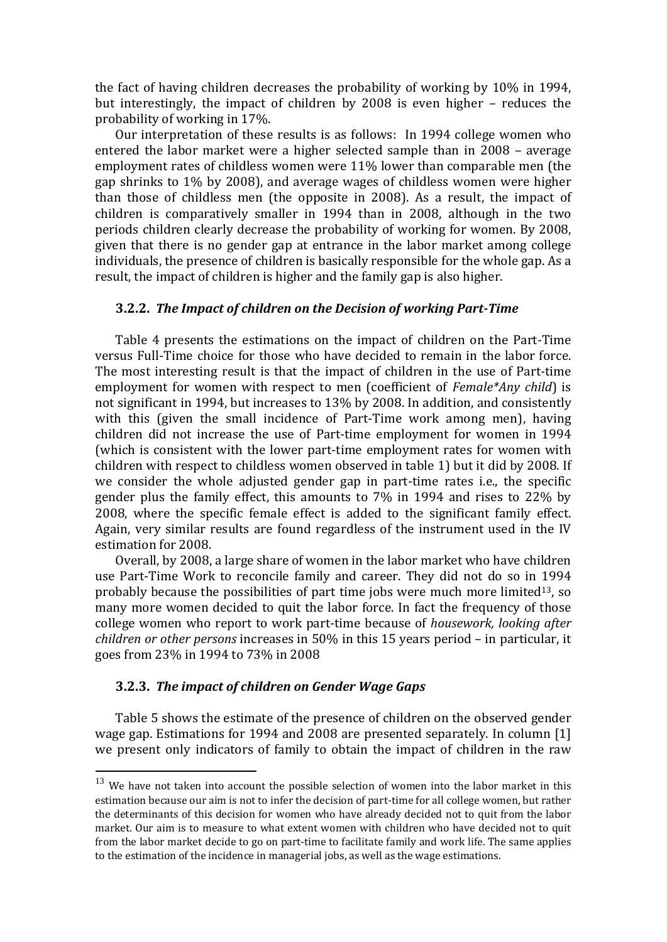the fact of having children decreases the probability of working by 10% in 1994, but interestingly, the impact of children by 2008 is even higher – reduces the probability of working in 17%.

Our interpretation of these results is as follows: In 1994 college women who entered the labor market were a higher selected sample than in 2008 – average employment rates of childless women were 11% lower than comparable men (the gap shrinks to 1% by 2008), and average wages of childless women were higher than those of childless men (the opposite in 2008). As a result, the impact of children is comparatively smaller in 1994 than in 2008, although in the two periods children clearly decrease the probability of working for women. By 2008, given that there is no gender gap at entrance in the labor market among college individuals, the presence of children is basically responsible for the whole gap. As a result, the impact of children is higher and the family gap is also higher.

#### **3.2.2.** *The Impact of children on the Decision of working PartTime*

Table 4 presents the estimations on the impact of children on the Part‐Time versus Full‐Time choice for those who have decided to remain in the labor force. The most interesting result is that the impact of children in the use of Part-time employment for women with respect to men (coefficient of *Female\*Any child*) is not significant in 1994, but increases to 13% by 2008. In addition, and consistently with this (given the small incidence of Part-Time work among men), having children did not increase the use of Part-time employment for women in 1994 (which is consistent with the lower part‐time employment rates for women with children with respect to childless women observed in table 1) but it did by 2008. If we consider the whole adjusted gender gap in part-time rates *i.e.*, the specific gender plus the family effect, this amounts to 7% in 1994 and rises to 22% by 2008, where the specific female effect is added to the significant family effect. Again, very similar results are found regardless of the instrument used in the IV estimation for 2008.

Overall, by 2008, a large share of women in the labor market who have children use Part‐Time Work to reconcile family and career. They did not do so in 1994 probably because the possibilities of part time jobs were much more limited<sup>13</sup>, so many more women decided to quit the labor force. In fact the frequency of those college women who report to work part‐time because of *housework, looking after children or other persons* increases in 50% in this 15 years period – in particular, it goes from 23% in 1994 to 73% in 2008

#### **3.2.3.** *The impact of children on Gender Wage Gaps*

Table 5 shows the estimate of the presence of children on the observed gender wage gap. Estimations for 1994 and 2008 are presented separately. In column [1] we present only indicators of family to obtain the impact of children in the raw

 $13$  We have not taken into account the possible selection of women into the labor market in this estimation because our aim is not to infer the decision of part-time for all college women, but rather the determinants of this decision for women who have already decided not to quit from the labor market. Our aim is to measure to what extent women with children who have decided not to quit from the labor market decide to go on part‐time to facilitate family and work life. The same applies to the estimation of the incidence in managerial jobs, as well as the wage estimations.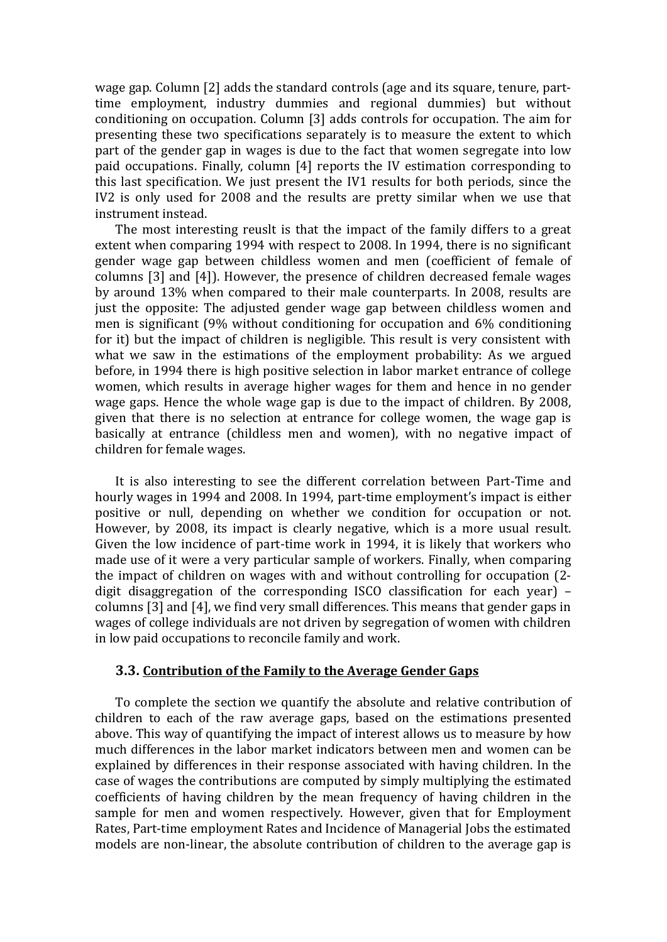wage gap. Column [2] adds the standard controls (age and its square, tenure, part‐ time employment, industry dummies and regional dummies) but without conditioning on occupation. Column [3] adds controls for occupation. The aim for presenting these two specifications separately is to measure the extent to which part of the gender gap in wages is due to the fact that women segregate into low paid occupations. Finally, column [4] reports the IV estimation corresponding to this last specification. We just present the IV1 results for both periods, since the IV2 is only used for 2008 and the results are pretty similar when we use that instrument instead.

The most interesting reuslt is that the impact of the family differs to a great extent when comparing 1994 with respect to 2008. In 1994, there is no significant gender wage gap between childless women and men (coefficient of female of columns [3] and [4]). However, the presence of children decreased female wages by around 13% when compared to their male counterparts. In 2008, results are just the opposite: The adjusted gender wage gap between childless women and men is significant (9% without conditioning for occupation and 6% conditioning for it) but the impact of children is negligible. This result is very consistent with what we saw in the estimations of the employment probability: As we argued before, in 1994 there is high positive selection in labor market entrance of college women, which results in average higher wages for them and hence in no gender wage gaps. Hence the whole wage gap is due to the impact of children. By 2008, given that there is no selection at entrance for college women, the wage gap is basically at entrance (childless men and women), with no negative impact of children for female wages.

It is also interesting to see the different correlation between Part‐Time and hourly wages in 1994 and 2008. In 1994, part‐time employment's impact is either positive or null, depending on whether we condition for occupation or not. However, by 2008, its impact is clearly negative, which is a more usual result. Given the low incidence of part-time work in 1994, it is likely that workers who made use of it were a very particular sample of workers. Finally, when comparing the impact of children on wages with and without controlling for occupation (2‐ digit disaggregation of the corresponding ISCO classification for each year) – columns [3] and [4], we find very small differences. This means that gender gaps in wages of college individuals are not driven by segregation of women with children in low paid occupations to reconcile family and work.

#### **3.3. Contribution of the Family to the Average Gender Gaps**

To complete the section we quantify the absolute and relative contribution of children to each of the raw average gaps, based on the estimations presented above. This way of quantifying the impact of interest allows us to measure by how much differences in the labor market indicators between men and women can be explained by differences in their response associated with having children. In the case of wages the contributions are computed by simply multiplying the estimated coefficients of having children by the mean frequency of having children in the sample for men and women respectively. However, given that for Employment Rates, Part‐time employment Rates and Incidence of Managerial Jobs the estimated models are non‐linear, the absolute contribution of children to the average gap is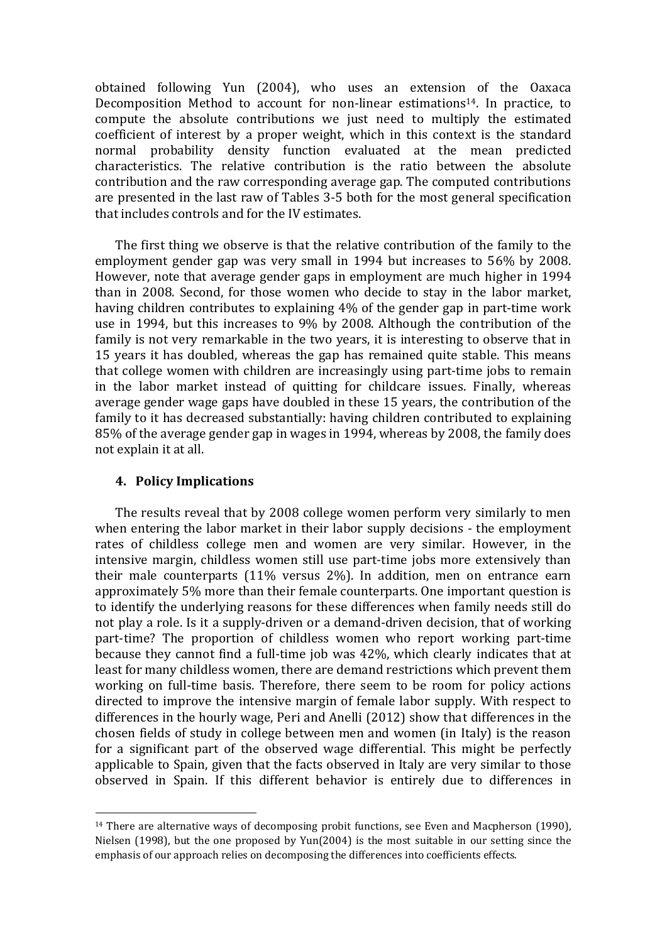obtained following Yun (2004), who uses an extension of the Oaxaca Decomposition Method to account for non-linear estimations<sup>14</sup>. In practice, to compute the absolute contributions we just need to multiply the estimated coefficient of interest by a proper weight, which in this context is the standard normal probability density function evaluated at the mean predicted characteristics. The relative contribution is the ratio between the absolute contribution and the raw corresponding average gap. The computed contributions are presented in the last raw of Tables 3‐5 both for the most general specification that includes controls and for the IV estimates.

The first thing we observe is that the relative contribution of the family to the employment gender gap was very small in 1994 but increases to 56% by 2008. However, note that average gender gaps in employment are much higher in 1994 than in 2008. Second, for those women who decide to stay in the labor market, having children contributes to explaining 4% of the gender gap in part-time work use in 1994, but this increases to 9% by 2008. Although the contribution of the family is not very remarkable in the two years, it is interesting to observe that in 15 years it has doubled, whereas the gap has remained quite stable. This means that college women with children are increasingly using part‐time jobs to remain in the labor market instead of quitting for childcare issues. Finally, whereas average gender wage gaps have doubled in these 15 years, the contribution of the family to it has decreased substantially: having children contributed to explaining 85% of the average gender gap in wages in 1994, whereas by 2008, the family does not explain it at all.

## **4. Policy Implications**

The results reveal that by 2008 college women perform very similarly to men when entering the labor market in their labor supply decisions ‐ the employment rates of childless college men and women are very similar. However, in the intensive margin, childless women still use part-time jobs more extensively than their male counterparts (11% versus 2%). In addition, men on entrance earn approximately 5% more than their female counterparts. One important question is to identify the underlying reasons for these differences when family needs still do not play a role. Is it a supply‐driven or a demand‐driven decision, that of working part-time? The proportion of childless women who report working part-time because they cannot find a full‐time job was 42%, which clearly indicates that at least for many childless women, there are demand restrictions which prevent them working on full-time basis. Therefore, there seem to be room for policy actions directed to improve the intensive margin of female labor supply. With respect to differences in the hourly wage, Peri and Anelli (2012) show that differences in the chosen fields of study in college between men and women (in Italy) is the reason for a significant part of the observed wage differential. This might be perfectly applicable to Spain, given that the facts observed in Italy are very similar to those observed in Spain. If this different behavior is entirely due to differences in

 $14$  There are alternative ways of decomposing probit functions, see Even and Macpherson (1990), Nielsen  $(1998)$ , but the one proposed by  $Yun(2004)$  is the most suitable in our setting since the emphasis of our approach relies on decomposing the differences into coefficients effects.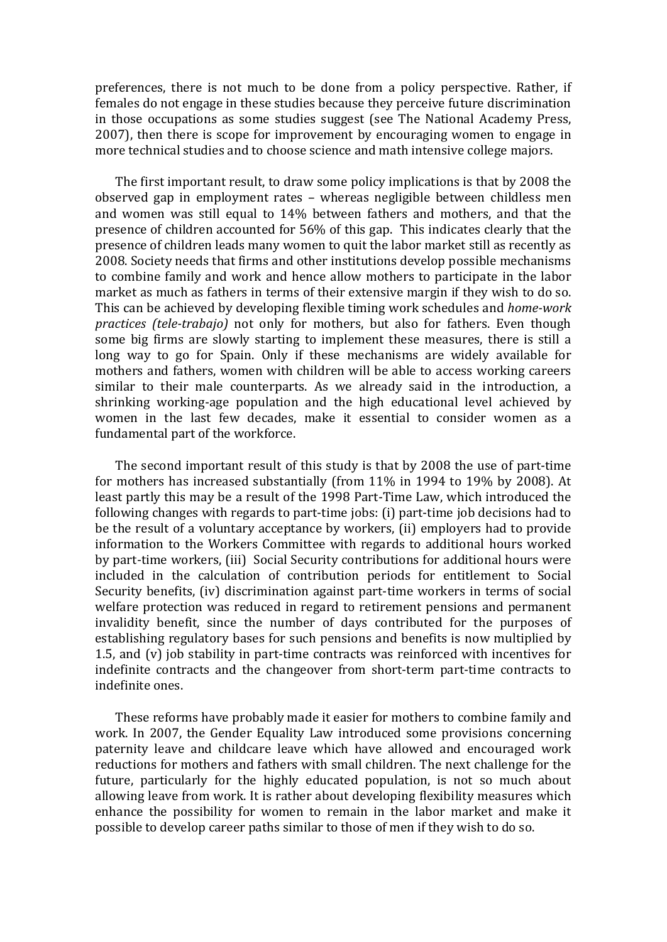preferences, there is not much to be done from a policy perspective. Rather, if females do not engage in these studies because they perceive future discrimination in those occupations as some studies suggest (see The National Academy Press, 2007), then there is scope for improvement by encouraging women to engage in more technical studies and to choose science and math intensive college majors.

The first important result, to draw some policy implications is that by 2008 the observed gap in employment rates – whereas negligible between childless men and women was still equal to 14% between fathers and mothers, and that the presence of children accounted for 56% of this gap. This indicates clearly that the presence of children leads many women to quit the labor market still as recently as 2008. Society needs that firms and other institutions develop possible mechanisms to combine family and work and hence allow mothers to participate in the labor market as much as fathers in terms of their extensive margin if they wish to do so. This can be achieved by developing flexible timing work schedules and *homework practices (teletrabajo)* not only for mothers, but also for fathers. Even though some big firms are slowly starting to implement these measures, there is still a long way to go for Spain. Only if these mechanisms are widely available for mothers and fathers, women with children will be able to access working careers similar to their male counterparts. As we already said in the introduction, a shrinking working‐age population and the high educational level achieved by women in the last few decades, make it essential to consider women as a fundamental part of the workforce.

The second important result of this study is that by 2008 the use of part-time for mothers has increased substantially (from 11% in 1994 to 19% by 2008). At least partly this may be a result of the 1998 Part‐Time Law, which introduced the following changes with regards to part‐time jobs: (i) part‐time job decisions had to be the result of a voluntary acceptance by workers, (ii) employers had to provide information to the Workers Committee with regards to additional hours worked by part-time workers, (iii) Social Security contributions for additional hours were included in the calculation of contribution periods for entitlement to Social Security benefits, (iv) discrimination against part-time workers in terms of social welfare protection was reduced in regard to retirement pensions and permanent invalidity benefit, since the number of days contributed for the purposes of establishing regulatory bases for such pensions and benefits is now multiplied by 1.5, and (v) job stability in part‐time contracts was reinforced with incentives for indefinite contracts and the changeover from short-term part-time contracts to indefinite ones.

These reforms have probably made it easier for mothers to combine family and work. In 2007, the Gender Equality Law introduced some provisions concerning paternity leave and childcare leave which have allowed and encouraged work reductions for mothers and fathers with small children. The next challenge for the future, particularly for the highly educated population, is not so much about allowing leave from work. It is rather about developing flexibility measures which enhance the possibility for women to remain in the labor market and make it possible to develop career paths similar to those of men if they wish to do so.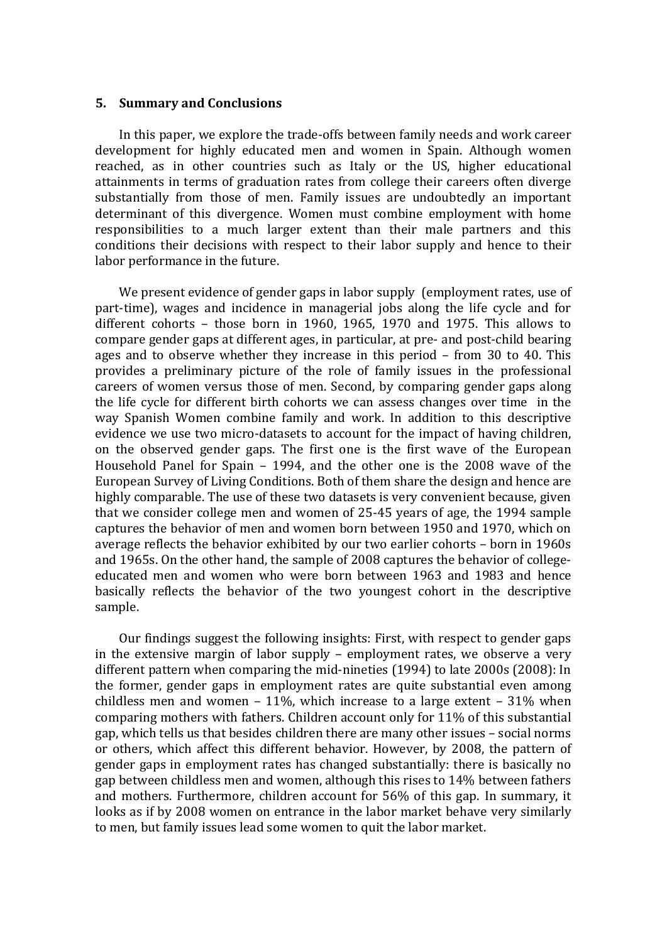#### **5. Summary and Conclusions**

In this paper, we explore the trade-offs between family needs and work career development for highly educated men and women in Spain. Although women reached, as in other countries such as Italy or the US, higher educational attainments in terms of graduation rates from college their careers often diverge substantially from those of men. Family issues are undoubtedly an important determinant of this divergence. Women must combine employment with home responsibilities to a much larger extent than their male partners and this conditions their decisions with respect to their labor supply and hence to their labor performance in the future.

We present evidence of gender gaps in labor supply (employment rates, use of part-time), wages and incidence in managerial jobs along the life cycle and for different cohorts – those born in 1960, 1965, 1970 and 1975. This allows to compare gender gaps at different ages, in particular, at pre‐ and post‐child bearing ages and to observe whether they increase in this period – from 30 to 40. This provides a preliminary picture of the role of family issues in the professional careers of women versus those of men. Second, by comparing gender gaps along the life cycle for different birth cohorts we can assess changes over time in the way Spanish Women combine family and work. In addition to this descriptive evidence we use two micro-datasets to account for the impact of having children, on the observed gender gaps. The first one is the first wave of the European Household Panel for Spain – 1994, and the other one is the 2008 wave of the European Survey of Living Conditions. Both of them share the design and hence are highly comparable. The use of these two datasets is very convenient because, given that we consider college men and women of 25‐45 years of age, the 1994 sample captures the behavior of men and women born between 1950 and 1970, which on average reflects the behavior exhibited by our two earlier cohorts – born in 1960s and 1965s. On the other hand, the sample of 2008 captures the behavior of college‐ educated men and women who were born between 1963 and 1983 and hence basically reflects the behavior of the two youngest cohort in the descriptive sample.

Our findings suggest the following insights: First, with respect to gender gaps in the extensive margin of labor supply – employment rates, we observe a very different pattern when comparing the mid‐nineties (1994) to late 2000s (2008): In the former, gender gaps in employment rates are quite substantial even among childless men and women  $-11\%$ , which increase to a large extent  $-31\%$  when comparing mothers with fathers. Children account only for 11% of this substantial gap, which tells us that besides children there are many other issues – social norms or others, which affect this different behavior. However, by 2008, the pattern of gender gaps in employment rates has changed substantially: there is basically no gap between childless men and women, although this rises to 14% between fathers and mothers. Furthermore, children account for 56% of this gap. In summary, it looks as if by 2008 women on entrance in the labor market behave very similarly to men, but family issues lead some women to quit the labor market.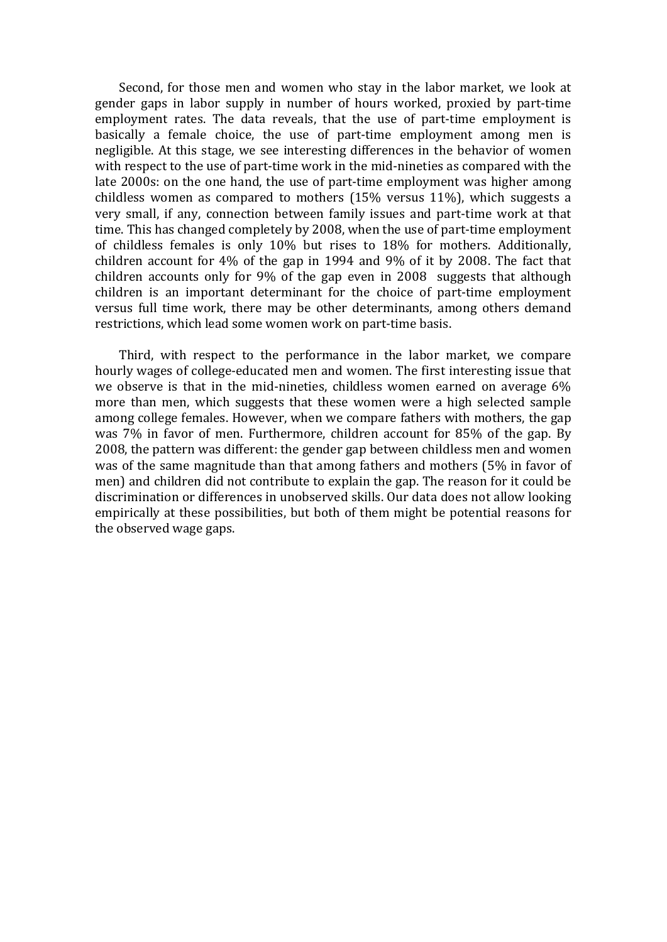Second, for those men and women who stay in the labor market, we look at gender gaps in labor supply in number of hours worked, proxied by part‐time employment rates. The data reveals, that the use of part-time employment is basically a female choice, the use of part‐time employment among men is negligible. At this stage, we see interesting differences in the behavior of women with respect to the use of part-time work in the mid-nineties as compared with the late 2000s: on the one hand, the use of part-time employment was higher among childless women as compared to mothers (15% versus 11%), which suggests a very small, if any, connection between family issues and part‐time work at that time. This has changed completely by 2008, when the use of part-time employment of childless females is only 10% but rises to 18% for mothers. Additionally, children account for 4% of the gap in 1994 and 9% of it by 2008. The fact that children accounts only for 9% of the gap even in 2008 suggests that although children is an important determinant for the choice of part-time employment versus full time work, there may be other determinants, among others demand restrictions, which lead some women work on part-time basis.

Third, with respect to the performance in the labor market, we compare hourly wages of college‐educated men and women. The first interesting issue that we observe is that in the mid-nineties, childless women earned on average  $6\%$ more than men, which suggests that these women were a high selected sample among college females. However, when we compare fathers with mothers, the gap was 7% in favor of men. Furthermore, children account for 85% of the gap. By 2008, the pattern was different: the gender gap between childless men and women was of the same magnitude than that among fathers and mothers (5% in favor of men) and children did not contribute to explain the gap. The reason for it could be discrimination or differences in unobserved skills. Our data does not allow looking empirically at these possibilities, but both of them might be potential reasons for the observed wage gaps.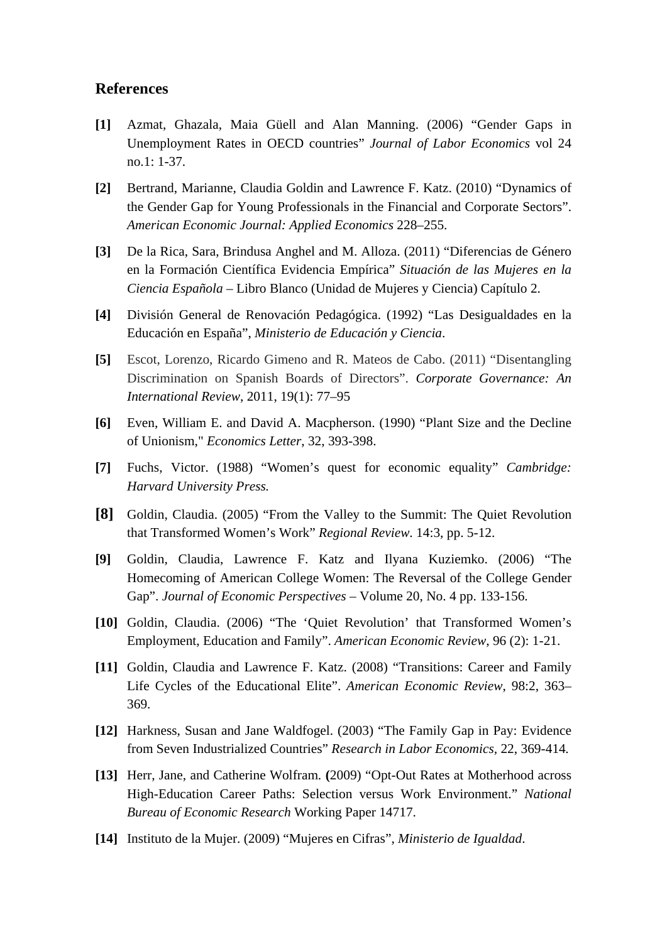#### **References**

- **[1]** Azmat, Ghazala, Maia Güell and Alan Manning. (2006) "Gender Gaps in Unemployment Rates in OECD countries" *Journal of Labor Economics* vol 24 no.1: 1-37.
- **[2]** Bertrand, Marianne, Claudia Goldin and Lawrence F. Katz. (2010) "Dynamics of the Gender Gap for Young Professionals in the Financial and Corporate Sectors". *American Economic Journal: Applied Economics* 228–255.
- **[3]** De la Rica, Sara, Brindusa Anghel and M. Alloza. (2011) "Diferencias de Género en la Formación Científica Evidencia Empírica" *Situación de las Mujeres en la Ciencia Española* – Libro Blanco (Unidad de Mujeres y Ciencia) Capítulo 2.
- **[4]** División General de Renovación Pedagógica. (1992) "Las Desigualdades en la Educación en España", *Ministerio de Educación y Ciencia*.
- **[5]** Escot, Lorenzo, Ricardo Gimeno and R. Mateos de Cabo. (2011) "Disentangling Discrimination on Spanish Boards of Directors". *Corporate Governance: An International Review*, 2011, 19(1): 77–95
- **[6]** Even, William E. and David A. Macpherson. (1990) "Plant Size and the Decline of Unionism," *Economics Letter*, 32, 393-398.
- **[7]** Fuchs, Victor. (1988) "Women's quest for economic equality" *Cambridge: Harvard University Press.*
- **[8]** Goldin, Claudia. (2005) "From the Valley to the Summit: The Quiet Revolution that Transformed Women's Work" *Regional Review*. 14:3, pp. 5-12.
- **[9]** Goldin, Claudia, Lawrence F. Katz and Ilyana Kuziemko. (2006) "The Homecoming of American College Women: The Reversal of the College Gender Gap". *Journal of Economic Perspectives* – Volume 20, No. 4 pp. 133-156.
- **[10]** Goldin, Claudia. (2006) "The 'Quiet Revolution' that Transformed Women's Employment, Education and Family". *American Economic Review*, 96 (2): 1-21.
- **[11]** Goldin, Claudia and Lawrence F. Katz. (2008) "Transitions: Career and Family Life Cycles of the Educational Elite". *American Economic Review*, 98:2, 363– 369.
- **[12]** Harkness, Susan and Jane Waldfogel. (2003) "The Family Gap in Pay: Evidence from Seven Industrialized Countries" *Research in Labor Economics,* 22, 369-414*.*
- **[13]** Herr, Jane, and Catherine Wolfram. **(**2009) "Opt-Out Rates at Motherhood across High-Education Career Paths: Selection versus Work Environment." *National Bureau of Economic Research* Working Paper 14717.
- **[14]** Instituto de la Mujer. (2009) "Mujeres en Cifras", *Ministerio de Igualdad*.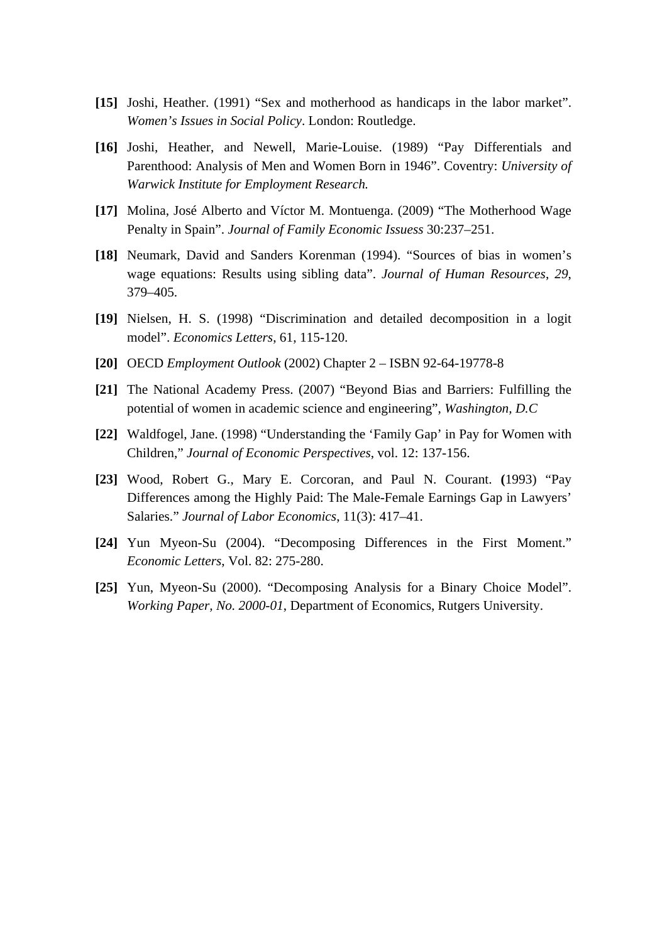- **[15]** Joshi, Heather. (1991) "Sex and motherhood as handicaps in the labor market". *Women's Issues in Social Policy*. London: Routledge.
- **[16]** Joshi, Heather, and Newell, Marie-Louise. (1989) "Pay Differentials and Parenthood: Analysis of Men and Women Born in 1946". Coventry: *University of Warwick Institute for Employment Research.*
- **[17]** Molina, José Alberto and Víctor M. Montuenga. (2009) "The Motherhood Wage Penalty in Spain". *Journal of Family Economic Issuess* 30:237–251.
- **[18]** Neumark, David and Sanders Korenman (1994). "Sources of bias in women's wage equations: Results using sibling data". *Journal of Human Resources*, *29*, 379–405.
- **[19]** Nielsen, H. S. (1998) "Discrimination and detailed decomposition in a logit model". *Economics Letters*, 61, 115-120.
- **[20]** OECD *Employment Outlook* (2002) Chapter 2 ISBN 92-64-19778-8
- **[21]** The National Academy Press. (2007) "Beyond Bias and Barriers: Fulfilling the potential of women in academic science and engineering", *Washington, D.C*
- **[22]** Waldfogel, Jane. (1998) "Understanding the 'Family Gap' in Pay for Women with Children," *Journal of Economic Perspectives*, vol. 12: 137-156.
- **[23]** Wood, Robert G., Mary E. Corcoran, and Paul N. Courant. **(**1993) "Pay Differences among the Highly Paid: The Male-Female Earnings Gap in Lawyers' Salaries." *Journal of Labor Economics*, 11(3): 417–41.
- **[24]** Yun Myeon-Su (2004). "Decomposing Differences in the First Moment." *Economic Letters*, Vol. 82: 275-280.
- **[25]** Yun, Myeon-Su (2000). "Decomposing Analysis for a Binary Choice Model". *Working Paper, No. 2000-01*, Department of Economics, Rutgers University.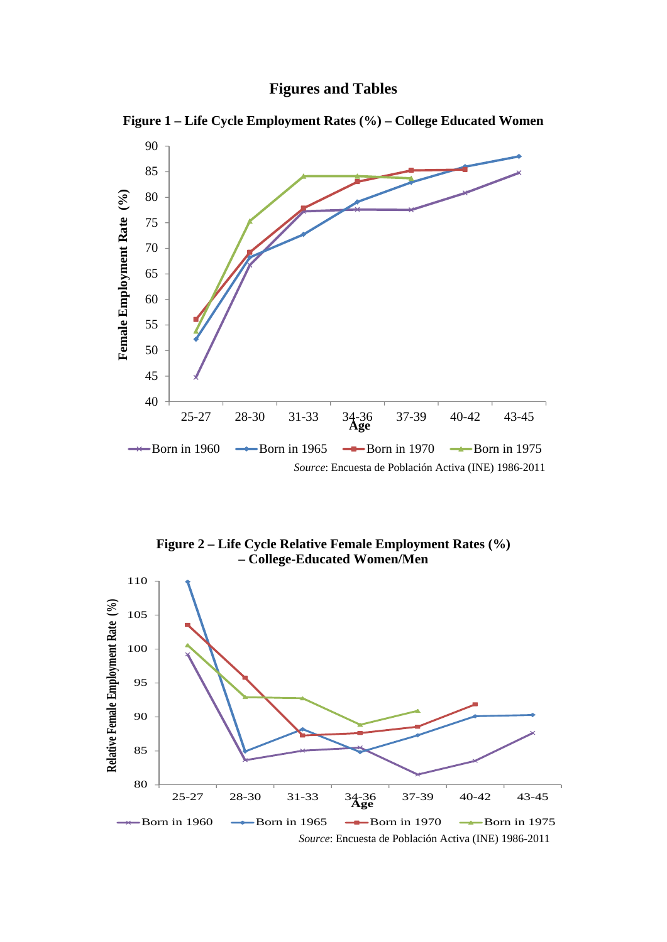

**Figure 1 – Life Cycle Employment Rates (%) – College Educated Women** 



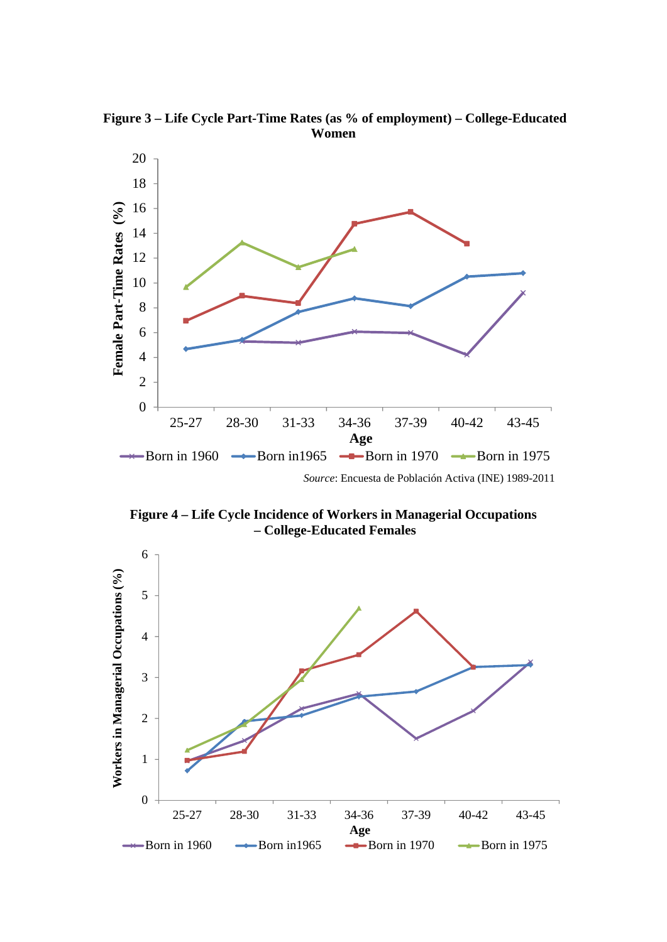**Figure 3 – Life Cycle Part-Time Rates (as % of employment) – College-Educated Women** 



**Figure 4 – Life Cycle Incidence of Workers in Managerial Occupations – College-Educated Females**

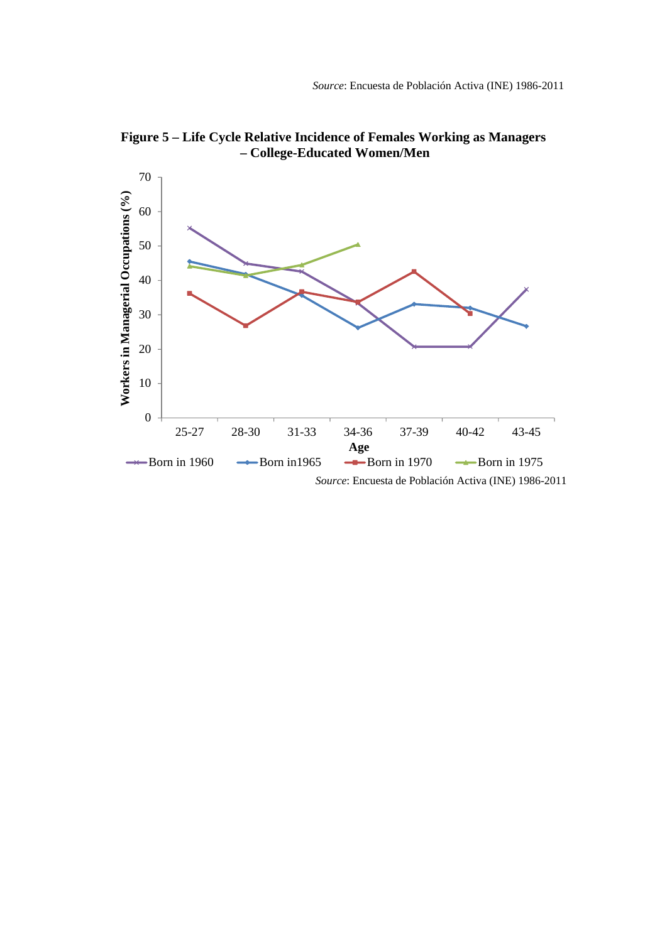

**Figure 5 – Life Cycle Relative Incidence of Females Working as Managers – College-Educated Women/Men**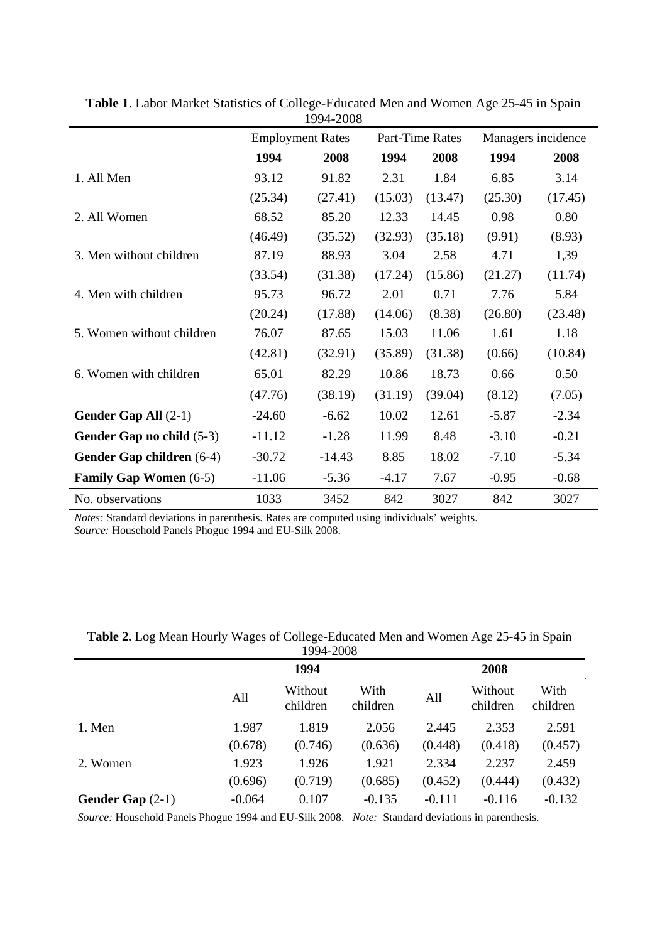|                               | <b>Employment Rates</b> |          |         | Part-Time Rates | Managers incidence |         |  |
|-------------------------------|-------------------------|----------|---------|-----------------|--------------------|---------|--|
|                               | 1994                    | 2008     | 1994    | 2008            | 1994               | 2008    |  |
| 1. All Men                    | 93.12                   | 91.82    | 2.31    | 1.84            | 6.85               | 3.14    |  |
|                               | (25.34)                 | (27.41)  | (15.03) | (13.47)         | (25.30)            | (17.45) |  |
| 2. All Women                  | 68.52                   | 85.20    | 12.33   | 14.45           | 0.98               | 0.80    |  |
|                               | (46.49)                 | (35.52)  | (32.93) | (35.18)         | (9.91)             | (8.93)  |  |
| 3. Men without children       | 87.19                   | 88.93    | 3.04    | 2.58            | 4.71               | 1,39    |  |
|                               | (33.54)                 | (31.38)  | (17.24) | (15.86)         | (21.27)            | (11.74) |  |
| 4. Men with children          | 95.73                   | 96.72    | 2.01    | 0.71            | 7.76               | 5.84    |  |
|                               | (20.24)                 | (17.88)  | (14.06) | (8.38)          | (26.80)            | (23.48) |  |
| 5. Women without children     | 76.07                   | 87.65    | 15.03   | 11.06           | 1.61               | 1.18    |  |
|                               | (42.81)                 | (32.91)  | (35.89) | (31.38)         | (0.66)             | (10.84) |  |
| 6. Women with children        | 65.01                   | 82.29    | 10.86   | 18.73           | 0.66               | 0.50    |  |
|                               | (47.76)                 | (38.19)  | (31.19) | (39.04)         | (8.12)             | (7.05)  |  |
| Gender Gap All $(2-1)$        | $-24.60$                | $-6.62$  | 10.02   | 12.61           | $-5.87$            | $-2.34$ |  |
| Gender Gap no child (5-3)     | $-11.12$                | $-1.28$  | 11.99   | 8.48            | $-3.10$            | $-0.21$ |  |
| Gender Gap children (6-4)     | $-30.72$                | $-14.43$ | 8.85    | 18.02           | $-7.10$            | $-5.34$ |  |
| <b>Family Gap Women (6-5)</b> | $-11.06$                | $-5.36$  | $-4.17$ | 7.67            | $-0.95$            | $-0.68$ |  |
| No. observations              | 1033                    | 3452     | 842     | 3027            | 842                | 3027    |  |

**Table 1**. Labor Market Statistics of College-Educated Men and Women Age 25-45 in Spain 1994-2008

*Notes:* Standard deviations in parenthesis. Rates are computed using individuals' weights.

*Source:* Household Panels Phogue 1994 and EU-Silk 2008.

| 1994-2008                 |          |                                         |          |          |                     |                  |  |  |
|---------------------------|----------|-----------------------------------------|----------|----------|---------------------|------------------|--|--|
|                           | 1994     |                                         |          |          | 2008                |                  |  |  |
|                           | All      | With<br>Without<br>children<br>children |          | All      | Without<br>children | With<br>children |  |  |
| 1. Men                    | 1.987    | 1.819                                   | 2.056    | 2.445    | 2.353               | 2.591            |  |  |
|                           | (0.678)  | (0.746)                                 | (0.636)  | (0.448)  | (0.418)             | (0.457)          |  |  |
| 2. Women                  | 1.923    | 1.926                                   | 1.921    | 2.334    | 2.237               | 2.459            |  |  |
|                           | (0.696)  | (0.719)                                 | (0.685)  | (0.452)  | (0.444)             | (0.432)          |  |  |
| <b>Gender Gap</b> $(2-1)$ | $-0.064$ | 0.107                                   | $-0.135$ | $-0.111$ | $-0.116$            | $-0.132$         |  |  |

**Table 2.** Log Mean Hourly Wages of College-Educated Men and Women Age 25-45 in Spain

*Source:* Household Panels Phogue 1994 and EU-Silk 2008. *Note:* Standard deviations in parenthesis.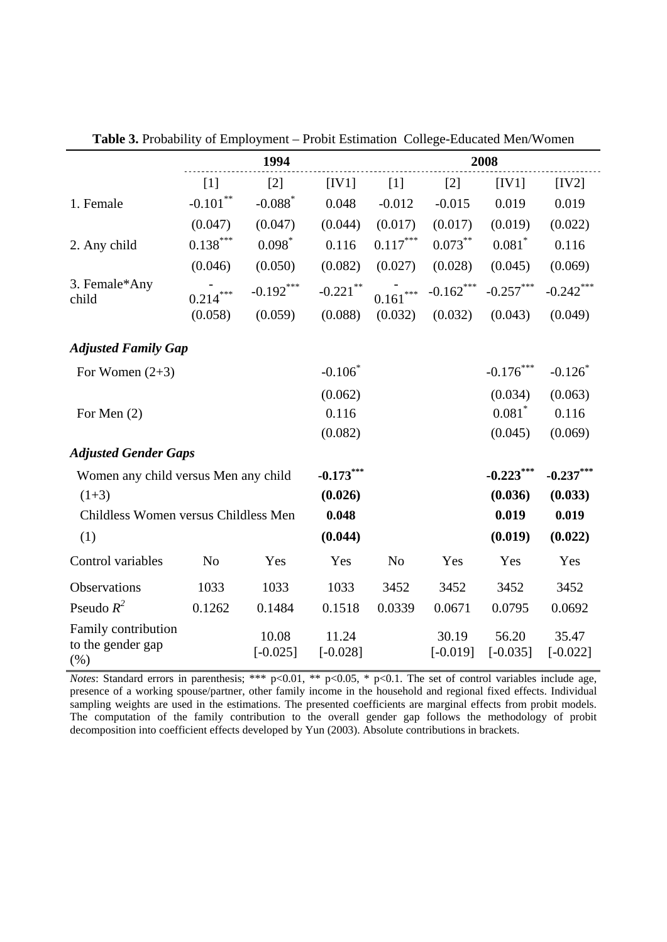|                                                  |                | 1994                  |                     | 2008                   |                     |                     |                     |  |
|--------------------------------------------------|----------------|-----------------------|---------------------|------------------------|---------------------|---------------------|---------------------|--|
|                                                  | $[1]$          | $[2]$                 | [IV1]               | $[1]$                  | $[2]$               | [IV1]               | [IV2]               |  |
| 1. Female                                        | $-0.101$ **    | $-0.088$ <sup>*</sup> | 0.048               | $-0.012$               | $-0.015$            | 0.019               | 0.019               |  |
|                                                  | (0.047)        | (0.047)               | (0.044)             | (0.017)                | (0.017)             | (0.019)             | (0.022)             |  |
| 2. Any child                                     | $0.138***$     | $0.098*$              | 0.116               | $0.117^{\ast\ast\ast}$ | $0.073***$          | $0.081$ *           | 0.116               |  |
|                                                  | (0.046)        | (0.050)               | (0.082)             | (0.027)                | (0.028)             | (0.045)             | (0.069)             |  |
| 3. Female*Any<br>child                           | $0.214***$     | $-0.192***$           | $-0.221$ **         | $0.161***$             | $-0.162$ ***        | $-0.257***$         | $-0.242***$         |  |
|                                                  | (0.058)        | (0.059)               | (0.088)             | (0.032)                | (0.032)             | (0.043)             | (0.049)             |  |
| <b>Adjusted Family Gap</b>                       |                |                       |                     |                        |                     |                     |                     |  |
| For Women $(2+3)$                                |                |                       | $-0.106*$           |                        |                     | $-0.176***$         | $-0.126$            |  |
|                                                  |                |                       | (0.062)             |                        |                     | (0.034)             | (0.063)             |  |
| For Men (2)                                      |                |                       | 0.116               |                        |                     | $0.081$ *           | 0.116               |  |
|                                                  |                |                       | (0.082)             |                        |                     | (0.045)             | (0.069)             |  |
| <b>Adjusted Gender Gaps</b>                      |                |                       |                     |                        |                     |                     |                     |  |
| Women any child versus Men any child             |                |                       | $-0.173***$         |                        |                     | $-0.223***$         | $-0.237***$         |  |
| $(1+3)$                                          |                |                       | (0.026)             |                        |                     | (0.036)             | (0.033)             |  |
| Childless Women versus Childless Men             | 0.048          |                       |                     | 0.019                  | 0.019               |                     |                     |  |
| (1)                                              |                |                       | (0.044)             |                        |                     | (0.019)             | (0.022)             |  |
| Control variables                                | N <sub>o</sub> | Yes                   | Yes                 | No                     | Yes                 | Yes                 | Yes                 |  |
| Observations                                     | 1033           | 1033                  | 1033                | 3452                   | 3452                | 3452                | 3452                |  |
| Pseudo $R^2$                                     | 0.1262         | 0.1484                | 0.1518              | 0.0339                 | 0.0671              | 0.0795              | 0.0692              |  |
| Family contribution<br>to the gender gap<br>(% ) |                | 10.08<br>$[-0.025]$   | 11.24<br>$[-0.028]$ |                        | 30.19<br>$[-0.019]$ | 56.20<br>$[-0.035]$ | 35.47<br>$[-0.022]$ |  |

**Table 3.** Probability of Employment – Probit Estimation College-Educated Men/Women

*Notes*: Standard errors in parenthesis; \*\*\* p<0.01, \*\* p<0.05, \* p<0.1. The set of control variables include age, presence of a working spouse/partner, other family income in the household and regional fixed effects. Individual sampling weights are used in the estimations. The presented coefficients are marginal effects from probit models. The computation of the family contribution to the overall gender gap follows the methodology of probit decomposition into coefficient effects developed by Yun (2003). Absolute contributions in brackets.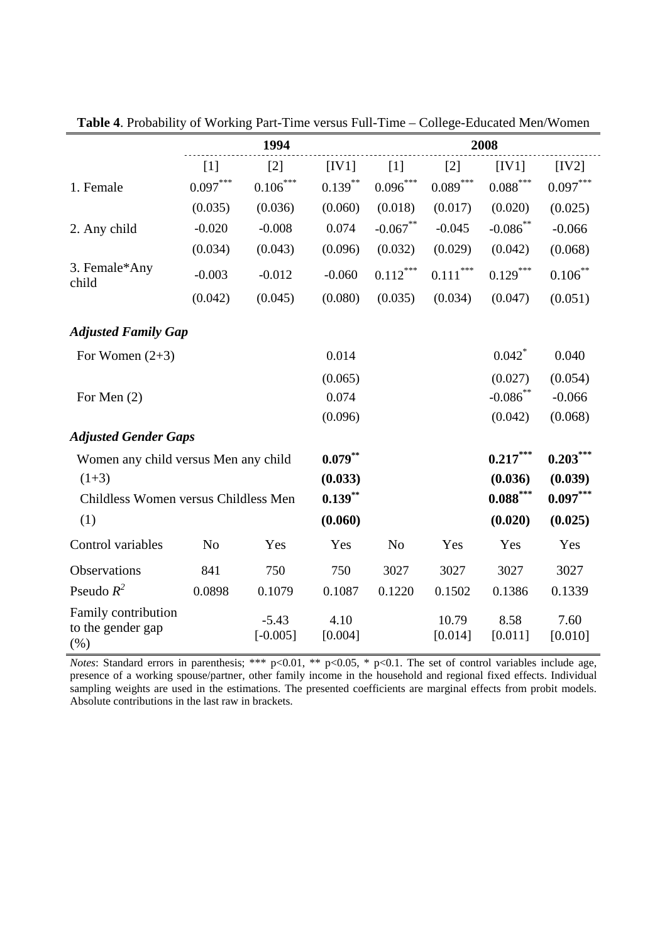|                                                  |                   | 1994                  |                 | 2008              |                  |                        |                 |  |
|--------------------------------------------------|-------------------|-----------------------|-----------------|-------------------|------------------|------------------------|-----------------|--|
|                                                  | $\lceil 1 \rceil$ | $\lceil 2 \rceil$     | [IV1]           | $\lceil 1 \rceil$ | $[2]$            | [IV1]                  | [IV2]           |  |
| 1. Female                                        | $0.097***$        | $0.106***$            | $0.139***$      | $0.096***$        | $0.089***$       | $0.088\overset{***}{}$ | $0.097***$      |  |
|                                                  | (0.035)           | (0.036)               | (0.060)         | (0.018)           | (0.017)          | (0.020)                | (0.025)         |  |
| 2. Any child                                     | $-0.020$          | $-0.008$              | 0.074           | $-0.067$ **       | $-0.045$         | $-0.086^{**}$          | $-0.066$        |  |
|                                                  | (0.034)           | (0.043)               | (0.096)         | (0.032)           | (0.029)          | (0.042)                | (0.068)         |  |
| 3. Female*Any<br>child                           | $-0.003$          | $-0.012$              | $-0.060$        | $0.112***$        | $0.111***$       | $0.129***$             | $0.106***$      |  |
|                                                  | (0.042)           | (0.045)               | (0.080)         | (0.035)           | (0.034)          | (0.047)                | (0.051)         |  |
| <b>Adjusted Family Gap</b>                       |                   |                       |                 |                   |                  |                        |                 |  |
| For Women $(2+3)$                                |                   |                       | 0.014           |                   |                  | $0.042$ <sup>*</sup>   | 0.040           |  |
|                                                  |                   |                       | (0.065)         |                   |                  | (0.027)                | (0.054)         |  |
| For Men $(2)$                                    |                   |                       | 0.074           |                   |                  | $-0.086$ **            | $-0.066$        |  |
|                                                  |                   |                       | (0.096)         |                   |                  | (0.042)                | (0.068)         |  |
| <b>Adjusted Gender Gaps</b>                      |                   |                       |                 |                   |                  |                        |                 |  |
| Women any child versus Men any child             | $0.079***$        |                       |                 | $0.217***$        | $0.203***$       |                        |                 |  |
| $(1+3)$                                          |                   |                       | (0.033)         |                   |                  | (0.036)                | (0.039)         |  |
| Childless Women versus Childless Men             | $0.139***$        |                       |                 | $0.088***$        | $0.097***$       |                        |                 |  |
| (1)                                              |                   |                       | (0.060)         |                   |                  | (0.020)                | (0.025)         |  |
| Control variables                                | N <sub>o</sub>    | Yes                   | Yes             | N <sub>o</sub>    | Yes              | Yes                    | Yes             |  |
| Observations                                     | 841               | 750                   | 750             | 3027              | 3027             | 3027                   | 3027            |  |
| Pseudo $R^2$                                     | 0.0898            | 0.1079                | 0.1087          | 0.1220            | 0.1502           | 0.1386                 | 0.1339          |  |
| Family contribution<br>to the gender gap<br>(% ) |                   | $-5.43$<br>$[-0.005]$ | 4.10<br>[0.004] |                   | 10.79<br>[0.014] | 8.58<br>[0.011]        | 7.60<br>[0.010] |  |

**Table 4**. Probability of Working Part-Time versus Full-Time – College-Educated Men/Women

*Notes*: Standard errors in parenthesis; \*\*\* p<0.01, \*\* p<0.05, \* p<0.1. The set of control variables include age, presence of a working spouse/partner, other family income in the household and regional fixed effects. Individual sampling weights are used in the estimations. The presented coefficients are marginal effects from probit models. Absolute contributions in the last raw in brackets.